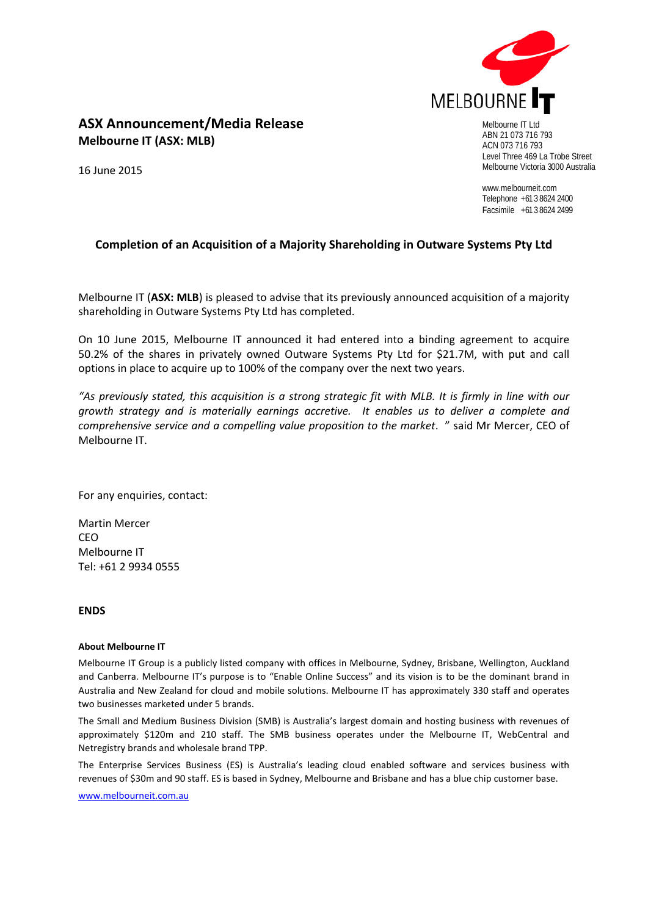

# **ASX Announcement/Media Release Melbourne IT (ASX: MLB)**

16 June 2015

ABN 21 073 716 793 ACN 073 716 793 Level Three 469 La Trobe Street Melbourne Victoria 3000 Australia

www.melbourneit.com Telephone +61 3 8624 2400 Facsimile +61 3 8624 2499

## **Completion of an Acquisition of a Majority Shareholding in Outware Systems Pty Ltd**

Melbourne IT (**ASX: MLB**) is pleased to advise that its previously announced acquisition of a majority shareholding in Outware Systems Pty Ltd has completed.

On 10 June 2015, Melbourne IT announced it had entered into a binding agreement to acquire 50.2% of the shares in privately owned Outware Systems Pty Ltd for \$21.7M, with put and call options in place to acquire up to 100% of the company over the next two years.

*"As previously stated, this acquisition is a strong strategic fit with MLB. It is firmly in line with our growth strategy and is materially earnings accretive. It enables us to deliver a complete and comprehensive service and a compelling value proposition to the market*. " said Mr Mercer, CEO of Melbourne IT.

For any enquiries, contact:

Martin Mercer **CEO** Melbourne IT Tel: +61 2 9934 0555

### **ENDS**

### **About Melbourne IT**

Melbourne IT Group is a publicly listed company with offices in Melbourne, Sydney, Brisbane, Wellington, Auckland and Canberra. Melbourne IT's purpose is to "Enable Online Success" and its vision is to be the dominant brand in Australia and New Zealand for cloud and mobile solutions. Melbourne IT has approximately 330 staff and operates two businesses marketed under 5 brands.

The Small and Medium Business Division (SMB) is Australia's largest domain and hosting business with revenues of approximately \$120m and 210 staff. The SMB business operates under the Melbourne IT, WebCentral and Netregistry brands and wholesale brand TPP.

The Enterprise Services Business (ES) is Australia's leading cloud enabled software and services business with revenues of \$30m and 90 staff. ES is based in Sydney, Melbourne and Brisbane and has a blue chip customer base.

[www.melbourneit.com.au](http://www.melbourneit.com.au/)